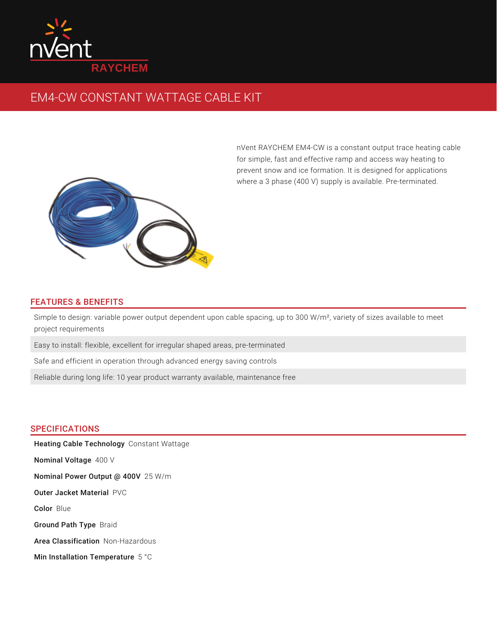

## EM4-CW CONSTANT WATTAGE CABLE KIT



nVent RAYCHEM EM4-CW is a constant output trace heating cable for simple, fast and effective ramp and access way heating to prevent snow and ice formation. It is designed for applications where a 3 phase (400 V) supply is available. Pre-terminated.

## FEATURES & BENEFITS

Simple to design: variable power output dependent upon cable spacing, up to 300 W/m², variety of sizes available to meet project requirements

Easy to install: flexible, excellent for irregular shaped areas, pre-terminated

Safe and efficient in operation through advanced energy saving controls

Reliable during long life: 10 year product warranty available, maintenance free

## SPECIFICATIONS

Heating Cable Technology Constant Wattage **Nominal Voltage** 400 V **Nominal Power Output @ 400V** 25 W/m **Outer Jacket Material PVC** Color Blue Ground Path Type Braid Area Classification Non-Hazardous Min Installation Temperature  $5^{\degree}$ C